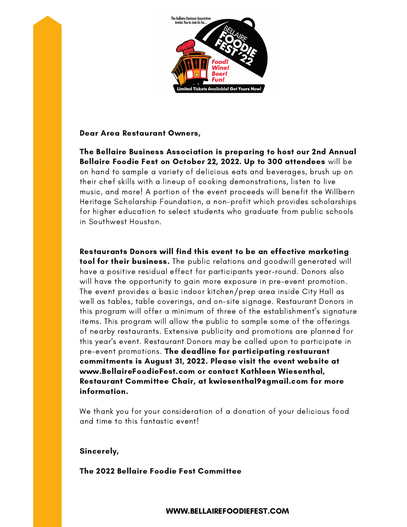

### Dear Area Restaurant Owners,

The Bellaire Business Association is preparing to host our 2nd Annual Bellaire Foodie Fest on October 22, 2022. Up to 300 attendees will be on hand to sample a variety of delicious eats and beverages, brush up on their chef skills with a lineup of cooking demonstrations, listen to live music, and more! A portion of the event proceeds will benefit the Willbern Heritage Scholarship Foundation, a non-profit which provides scholarships for higher education to select students who graduate from public schools in Southwest Houston.

Restaurants Donors will find this event to be an effective marketing tool for their business. The public relations and goodwill generated will have a positive residual effect for participants year-round. Donors also will have the opportunity to gain more exposure in pre-event promotion. The event provides a basic indoor kitchen/prep area inside City Hall as well as tables, table coverings, and on-site signage. Restaurant Donors in this program will offer a minimum of three of the establishment's signature items. This program will allow the public to sample some of the offerings of nearby restaurants. Extensive publicity and promotions are planned for this year's event. Restaurant Donors may be called upon to participate in pre-event promotions. The deadline for participating restaurant commitments is August 31, 2022. Please visit the event website at www.BellaireFoodieFest.com or contact Kathleen Wiesenthal, Restaurant Committee Chair, at kwiesenthal9@gmail.com for more information.

We thank you for your consideration of a donation of your delicious food and time to this fantastic event!

### Sincerely,

The 2022 Bellaire Foodie Fest Committee

WWW.BELLAIREFOODIEFEST.COM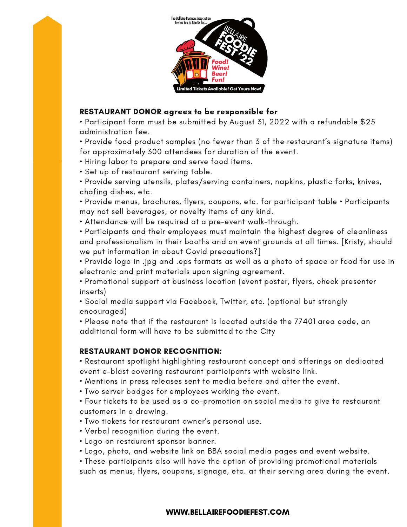

# RESTAURANT DONOR agrees to be responsible for

• Participant form must be submitted by August 31, 2022 with a refundable \$25 administration fee.

• Provide food product samples (no fewer than 3 of the restaurant's signature items) for approximately 300 attendees for duration of the event.

• Hiring labor to prepare and serve food items.

• Set up of restaurant serving table.

• Provide serving utensils, plates/serving containers, napkins, plastic forks, knives, chafing dishes, etc.

• Provide menus, brochures, flyers, coupons, etc. for participant table • Participants may not sell beverages, or novelty items of any kind.

• Attendance will be required at a pre-event walk-through.

• Participants and their employees must maintain the highest degree of cleanliness and professionalism in their booths and on event grounds at all times. [Kristy, should we put information in about Covid precautions?]

• Provide logo in .jpg and .eps formats as well as a photo of space or food for use in electronic and print materials upon signing agreement.

• Promotional support at business location (event poster, flyers, check presenter inserts)

• Social media support via Facebook, Twitter, etc. (optional but strongly encouraged)

• Please note that if the restaurant is located outside the 77401 area code, an additional form will have to be submitted to the City

## RESTAURANT DONOR RECOGNITION:

• Restaurant spotlight highlighting restaurant concept and offerings on dedicated event e-blast covering restaurant participants with website link.

• Mentions in press releases sent to media before and after the event.

• Two server badges for employees working the event.

• Four tickets to be used as a co-promotion on social media to give to restaurant customers in a drawing.

• Two tickets for restaurant owner's personal use.

• Verbal recognition during the event.

• Logo on restaurant sponsor banner.

• Logo, photo, and website link on BBA social media pages and event website.

• These participants also will have the option of providing promotional materials such as menus, flyers, coupons, signage, etc. at their serving area during the event.

## WWW.BELLAIREFOODIEFEST.COM